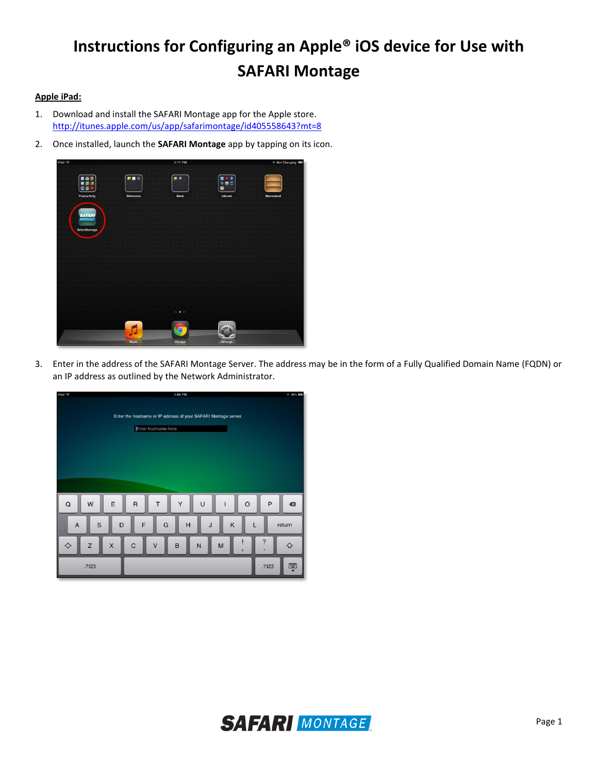## **Instructions for Configuring an Apple® iOS device for Use with SAFARI Montage**

## **Apple iPad:**

- 1. Download and install the SAFARI Montage app for the Apple store. <http://itunes.apple.com/us/app/safarimontage/id405558643?mt=8>
- 2. Once installed, launch the **SAFARI Montage** app by tapping on its icon.



3. Enter in the address of the SAFARI Montage Server. The address may be in the form of a Fully Qualified Domain Name (FQDN) or an IP address as outlined by the Network Administrator.



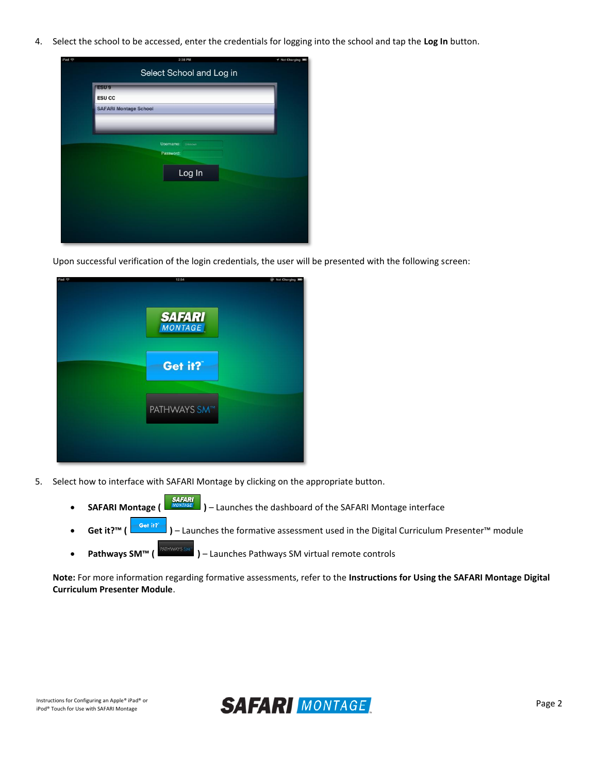4. Select the school to be accessed, enter the credentials for logging into the school and tap the **Log In** button.

| Pad ? |                              | 2:38 PM              | イ Not Charging ■ |
|-------|------------------------------|----------------------|------------------|
|       | Select School and Log in     |                      |                  |
|       | ESU <sub>9</sub>             |                      |                  |
|       | <b>ESU CC</b>                |                      |                  |
|       | <b>SAFARI Montage School</b> |                      |                  |
|       |                              |                      |                  |
|       |                              |                      |                  |
|       |                              | Username:<br>Unknown |                  |
|       |                              | Password:            |                  |
|       |                              | Log In               |                  |
|       |                              |                      |                  |
|       |                              |                      |                  |
|       |                              |                      |                  |
|       |                              |                      |                  |
|       |                              |                      |                  |
|       |                              |                      |                  |

Upon successful verification of the login credentials, the user will be presented with the following screen:



- 5. Select how to interface with SAFARI Montage by clicking on the appropriate button.
	- **SAFARI Montage (**  $\frac{1}{\sqrt{MOMAGE}}$  ) Launches the dashboard of the SAFARI Montage interface
	- **Get it?™ ( )** Launches the formative assessment used in the Digital Curriculum Presenter™ module
	- **•** Pathways SM™ (  $\frac{PATHWANS SMM}{P}$  ) Launches Pathways SM virtual remote controls

**Note:** For more information regarding formative assessments, refer to the **Instructions for Using the SAFARI Montage Digital Curriculum Presenter Module**.

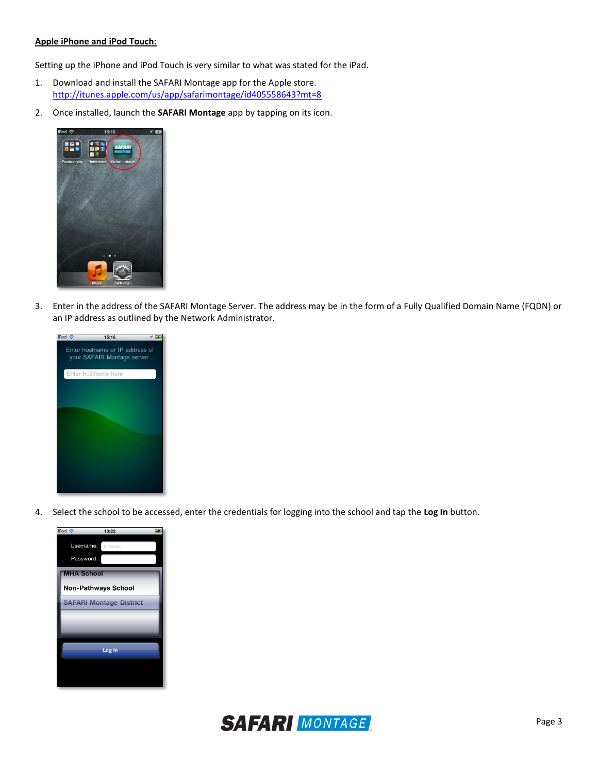## **Apple iPhone and iPod Touch:**

Setting up the iPhone and iPod Touch is very similar to what was stated for the iPad.

- 1. Download and install the SAFARI Montage app for the Apple store. <http://itunes.apple.com/us/app/safarimontage/id405558643?mt=8>
- 2. Once installed, launch the **SAFARI Montage** app by tapping on its icon.



3. Enter in the address of the SAFARI Montage Server. The address may be in the form of a Fully Qualified Domain Name (FQDN) or an IP address as outlined by the Network Administrator.



4. Select the school to be accessed, enter the credentials for logging into the school and tap the **Log In** button.